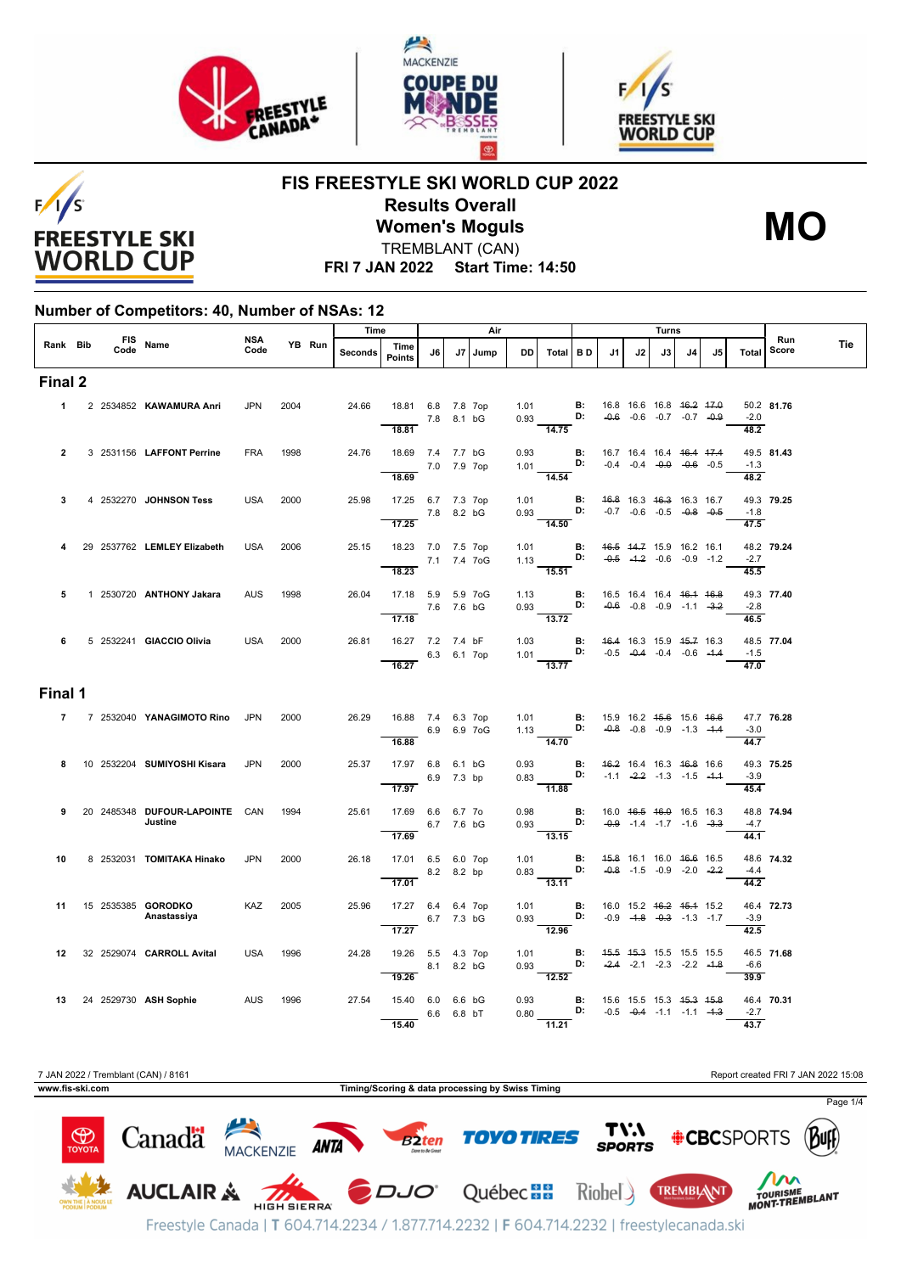





**FIS FREESTYLE SKI WORLD CUP 2022 Results Overall**

 $F/1/S$ **FREESTYLE SKI WORLD CUP** 

**MO**

**Women's Moguls** TREMBLANT (CAN)

**FRI 7 JAN 2022 Start Time: 14:50**

## **Number of Competitors: 40, Number of NSAs: 12**

|                  |  | Time                                      |                    |      | Air    |                |                                  |            |    | Turns |              |                                                                                                           |  |                                                |    |                                                                | Run |                                    |                            |            |     |
|------------------|--|-------------------------------------------|--------------------|------|--------|----------------|----------------------------------|------------|----|-------|--------------|-----------------------------------------------------------------------------------------------------------|--|------------------------------------------------|----|----------------------------------------------------------------|-----|------------------------------------|----------------------------|------------|-----|
| Rank Bib         |  | FIS Name                                  | <b>NSA</b><br>Code |      | YB Run | <b>Seconds</b> | Time<br>Points                   | J6         | J7 | Jump  | DD           | Total BD                                                                                                  |  | J1                                             | J2 | J3                                                             | J4  | J5                                 | Total                      | Score      | Tie |
| Final 2          |  |                                           |                    |      |        |                |                                  |            |    |       |              |                                                                                                           |  |                                                |    |                                                                |     |                                    |                            |            |     |
| $\mathbf{1}$     |  | 2 2534852 KAWAMURA Anri                   | <b>JPN</b>         | 2004 |        | 24.66          | 18.81 6.8 7.8 7op<br>7.8 8.1 bG  |            |    |       |              | 1.01 <b>B:</b><br>0.93 <b>D:</b>                                                                          |  |                                                |    | 16.8 16.6 16.8 <del>16.2 17.0</del>                            |     | $-0.6$ $-0.6$ $-0.7$ $-0.7$ $-0.9$ | $-2.0$                     | 50.2 81.76 |     |
|                  |  |                                           |                    |      |        |                | 18.81                            |            |    |       |              | 14.75                                                                                                     |  |                                                |    |                                                                |     |                                    | 48.2                       |            |     |
| $\overline{2}$   |  | 3 2531156 LAFFONT Perrine                 | <b>FRA</b>         | 1998 |        | 24.76          | 18.69 7.4 7.7 bG<br>7.0 7.9 7op  |            |    |       |              | 0.93 <b>B:</b> 16.7 16.4 16.4 <del>16.4 17.4</del><br>1.01 <b>D:</b> -0.4 -0.4 -0. <del>0</del> -0.6 -0.5 |  |                                                |    |                                                                |     |                                    | $-1.3$                     | 49.5 81.43 |     |
|                  |  |                                           |                    |      |        |                | 18.69                            |            |    |       |              | 14.54                                                                                                     |  |                                                |    |                                                                |     |                                    | $\frac{1}{48.2}$           |            |     |
| 3                |  | 4 2532270 JOHNSON Tess                    | <b>USA</b>         | 2000 |        | 25.98          | 17.25 6.7 7.3 7op<br>7.8 8.2 bG  |            |    |       |              | 1.01 <b>B:</b><br>0.93 <b>D:</b>                                                                          |  |                                                |    | 46.8 16.3 46.3 16.3 16.7<br>$-0.7$ $-0.6$ $-0.5$ $-0.8$ $-0.5$ |     |                                    | $-1.8$<br>$\frac{1}{47.5}$ | 49.3 79.25 |     |
| 4                |  | 29 2537762 LEMLEY Elizabeth               | <b>USA</b>         | 2006 |        | 25.15          | 17.25<br>18.23 7.0 7.5 7op       |            |    |       |              | 14.50                                                                                                     |  |                                                |    |                                                                |     |                                    |                            | 48.2 79.24 |     |
|                  |  |                                           |                    |      |        |                | 7.1 7.4 7oG<br>18.23             |            |    |       |              | 1.01 <b>B:</b> 4 <del>6.5</del> 44.7 15.9 16.2 16.1<br>1.13 <b>D:</b> -0.5 -1.2 -0.6 -0.9 -1.2<br>15.51   |  |                                                |    |                                                                |     | $-0.5$ $-4.2$ $-0.6$ $-0.9$ $-1.2$ | $-2.7$<br>45.5             |            |     |
| 5                |  | 1 2530720 ANTHONY Jakara                  | <b>AUS</b>         | 1998 |        | 26.04          | 17.18 5.9 5.9 7oG                |            |    |       |              | 1.13 <b>B:</b><br>0.93 <b>D:</b>                                                                          |  | 16.5 16.4 16.4 46.4 46.8                       |    |                                                                |     |                                    |                            | 49.3 77.40 |     |
|                  |  |                                           |                    |      |        |                | 17.18                            | 7.6 7.6 bG |    |       |              | $\frac{0.00}{13.72}$                                                                                      |  |                                                |    |                                                                |     | $-0.6$ $-0.8$ $-0.9$ $-1.1$ $-3.2$ | $-2.8$<br>$\frac{1}{46.5}$ |            |     |
| 6                |  | 5 2532241 GIACCIO Olivia                  | <b>USA</b>         | 2000 |        | 26.81          | 16.27 7.2 7.4 bF                 |            |    |       |              | 1.03 <b>B:</b> 46.4 16.3 15.9 45.7 16.3<br>1.01 <b>D:</b> -0.5 -0.4 -0.4 -0.6 -1.4                        |  |                                                |    |                                                                |     |                                    | $-1.5$                     | 48.5 77.04 |     |
|                  |  |                                           |                    |      |        |                | 6.3 6.1 7op<br>16.27             |            |    |       |              | $\frac{13.77}{2}$                                                                                         |  |                                                |    |                                                                |     |                                    | 47.0                       |            |     |
| Final 1          |  |                                           |                    |      |        |                |                                  |            |    |       |              |                                                                                                           |  |                                                |    |                                                                |     |                                    |                            |            |     |
| $\mathbf{7}$     |  | 7 2532040 YANAGIMOTO Rino JPN             |                    | 2000 |        | 26.29          | 16.88 7.4 6.3 7op<br>6.9 6.9 7oG |            |    |       |              | 1.01 <b>B</b> : 15.9 16.2 <del>15.6</del> 15.6 <del>16.6</del><br>1.13 <b>D:</b> -0.8 -0.8 -0.9 -1.3 -1.4 |  |                                                |    |                                                                |     |                                    | $-3.0$                     | 47.7 76.28 |     |
|                  |  |                                           |                    |      |        |                | 16.88                            |            |    |       |              | $\frac{1}{14.70}$                                                                                         |  |                                                |    |                                                                |     |                                    | 44.7                       |            |     |
| 8                |  | 10 2532204 SUMIYOSHI Kisara               | <b>JPN</b>         | 2000 |        | 25.37          | 17.97 6.8 6.1 bG                 | 6.9 7.3 bp |    |       |              | 0.93 <b>B:</b><br>0.83 <b>D:</b>                                                                          |  | 46.2 16.4 16.3 46.8 16.6                       |    | $-1.1$ $-2.2$ $-1.3$ $-1.5$ $-4.4$                             |     |                                    | $-3.9$                     | 49.3 75.25 |     |
|                  |  |                                           |                    |      |        |                | 17.97                            |            |    |       |              | $-11.88$                                                                                                  |  |                                                |    |                                                                |     |                                    | 45.4                       |            |     |
| 9                |  | 20 2485348 DUFOUR-LAPOINTE CAN<br>Justine |                    | 1994 |        | 25.61          | 17.69 6.6 6.7 70<br>17.69        | 6.7 7.6 bG |    |       | 0.98         | 0.93 <b>D:</b> $-0.9$ -1.4 -1.7 -1.6 -3.3<br>$-13.15$                                                     |  | <b>B:</b> 16.0 46.5 46.0 16.5 16.3             |    |                                                                |     |                                    | $-4.7$<br>44.1             | 48.8 74.94 |     |
| 10               |  | 8 2532031 <b>TOMITAKA Hinako</b>          | <b>JPN</b>         | 2000 |        | 26.18          | 17.01 6.5 6.0 7op                |            |    |       |              |                                                                                                           |  |                                                |    | 45.8 16.1 16.0 46.6 16.5                                       |     |                                    |                            | 48.6 74.32 |     |
|                  |  |                                           |                    |      |        |                | 17.01                            | 8.2 8.2 bp |    |       |              | 1.01 <b>B:</b><br>0.83 <b>D:</b><br>$\overline{13.11}$                                                    |  |                                                |    | $-0.8$ $-1.5$ $-0.9$ $-2.0$ $-2.2$                             |     |                                    | $-4.4$<br>44.2             |            |     |
| 11               |  | 15 2535385 GORODKO                        | <b>KAZ</b>         | 2005 |        | 25.96          | 17.27 6.4 6.4 7op                |            |    |       |              | 1.01 <b>B:</b> 16.0 15.2 <del>16.2</del> 15.4 15.2<br>0.93 <b>D:</b> -0.9 -1.8 -0.3 -1.3 -1.7             |  |                                                |    |                                                                |     |                                    |                            | 46.4 72.73 |     |
|                  |  | Anastassiya                               |                    |      |        |                | 17.27                            | 6.7 7.3 bG |    |       |              | 12.96                                                                                                     |  |                                                |    |                                                                |     |                                    | $-3.9$<br>42.5             |            |     |
| 12 <sup>12</sup> |  | 32 2529074 CARROLL Avital                 | USA                | 1996 |        | 24.28          | 19.26 5.5 4.3 7op                |            |    |       |              | 1.01 <b>B:</b><br>0.93 <b>D:</b>                                                                          |  |                                                |    | 45.5 45.3 15.5 15.5 15.5<br>$-2.4$ $-2.1$ $-2.3$ $-2.2$ $-1.8$ |     |                                    | $-6.6$                     | 46.5 71.68 |     |
|                  |  |                                           |                    |      |        |                | 19.26                            | 8.1 8.2 bG |    |       |              | $\frac{1}{12.52}$                                                                                         |  |                                                |    |                                                                |     |                                    | 39.9                       |            |     |
|                  |  | 13 24 2529730 ASH Sophie                  | AUS 1996           |      |        | 27.54          | 15.40 6.0 6.6 bG                 | 6.6 6.8 bT |    |       | 0.93<br>0.80 | D:                                                                                                        |  | <b>B</b> : 15.6 15.5 15.3 <del>15.3 15.8</del> |    | $-0.5$ $-0.4$ $-1.1$ $-1.1$ $-1.3$                             |     |                                    | $-2.7$                     | 46.4 70.31 |     |
|                  |  |                                           |                    |      |        |                | 15.40                            |            |    |       |              | $-11.21$                                                                                                  |  |                                                |    |                                                                |     |                                    | 43.7                       |            |     |

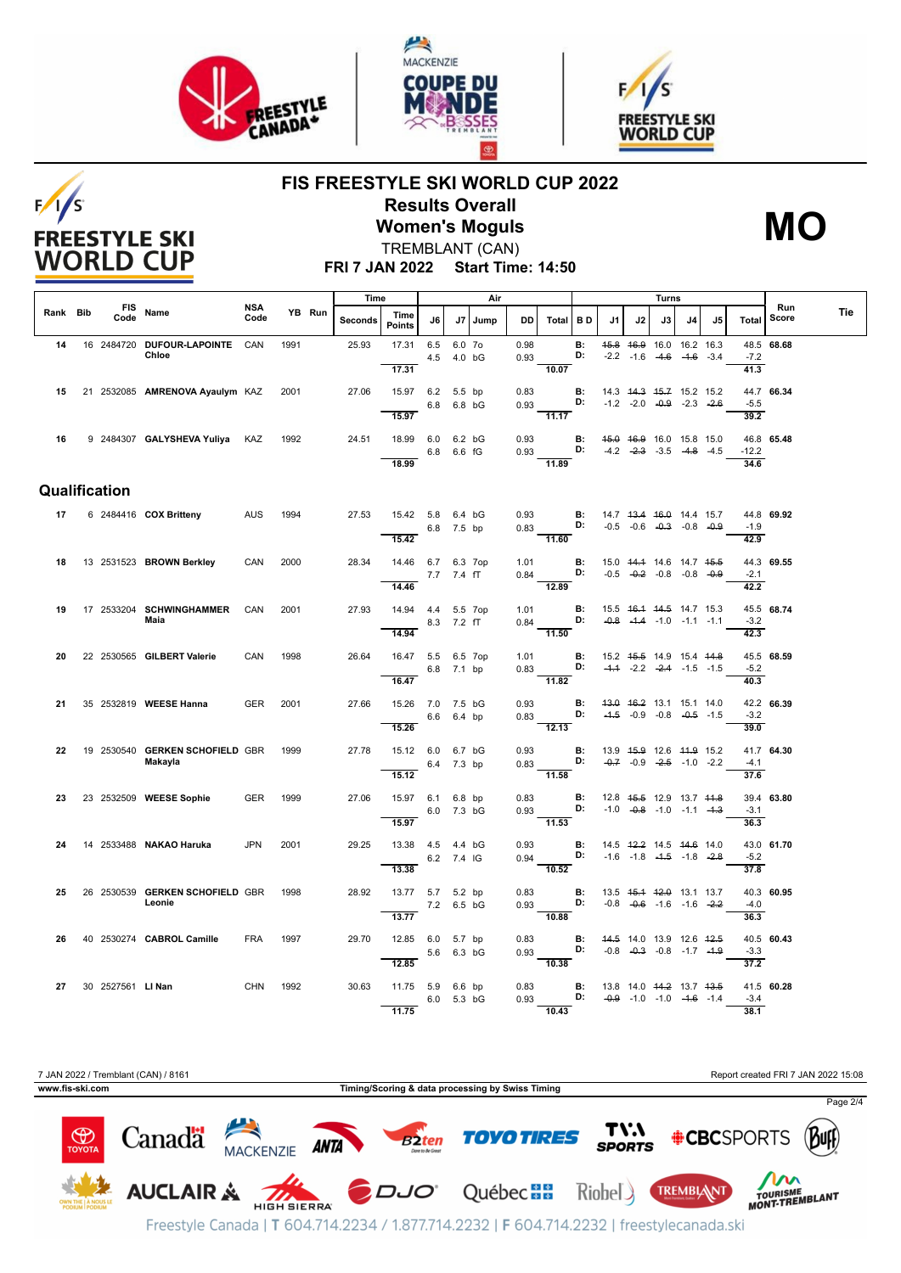

 $F/1/S$ 

**FREESTYLE SKI WORLD CUP** 





## **FIS FREESTYLE SKI WORLD CUP 2022 Results Overall Women's Moguls**



TREMBLANT (CAN)

**FRI 7 JAN 2022 Start Time: 14:50**

|          |                    |                                            |                    |      |        | Time    |                                          |            |                      | Air     |              |                                                                         |                 | Turns                                                                              |    |                                                                |    |    |                |              |     |
|----------|--------------------|--------------------------------------------|--------------------|------|--------|---------|------------------------------------------|------------|----------------------|---------|--------------|-------------------------------------------------------------------------|-----------------|------------------------------------------------------------------------------------|----|----------------------------------------------------------------|----|----|----------------|--------------|-----|
| Rank Bib | <b>FIS</b><br>Code | Name                                       | <b>NSA</b><br>Code |      | YB Run | Seconds | Time<br><b>Points</b>                    | J6         |                      | J7 Jump | DD           | Total                                                                   | <b>BD</b>       | J1                                                                                 | J2 | J3                                                             | J4 | J5 | Total          | Run<br>Score | Tie |
| 14       |                    | 16 2484720 DUFOUR-LAPOINTE CAN<br>Chloe    |                    | 1991 |        | 25.93   | 17.31 6.5                                |            | 6.0 7o<br>4.5 4.0 bG |         | 0.98<br>0.93 |                                                                         | <b>B:</b><br>D: |                                                                                    |    | 45.8 46.9 16.0 16.2 16.3<br>$-2.2$ $-1.6$ $-4.6$ $-4.6$ $-3.4$ |    |    | $-7.2$         | 48.5 68.68   |     |
| 15       |                    | 21 2532085 AMRENOVA Ayaulym KAZ            |                    | 2001 |        | 27.06   | 17.31<br>15.97 6.2 5.5 bp                |            |                      |         | 0.83         | 10.07                                                                   | <b>B:</b>       | 14.3 44.3 45.7 15.2 15.2                                                           |    |                                                                |    |    | 41.3           | 44.7 66.34   |     |
|          |                    |                                            |                    |      |        |         | 15.97                                    |            | 6.8 6.8 bG           |         | 0.93         | $-11.17$                                                                | D:              |                                                                                    |    | $-1.2$ $-2.0$ $-0.9$ $-2.3$ $-2.6$                             |    |    | $-5.5$<br>39.2 |              |     |
| 16       |                    | 9 2484307 GALYSHEVA Yuliya KAZ             |                    | 1992 |        | 24.51   | 18.99 6.0 6.2 bG                         |            | 6.8 6.6 fG           |         | 0.93<br>0.93 |                                                                         |                 | <b>B:</b> 45.0 46.9 16.0 15.8 15.0<br><b>D:</b> $-4.2$ $-2.3$ $-3.5$ $-4.8$ $-4.5$ |    |                                                                |    |    | $-12.2$        | 46.8 65.48   |     |
|          |                    |                                            |                    |      |        |         | 18.99                                    |            |                      |         |              | 11.89                                                                   |                 |                                                                                    |    |                                                                |    |    | 34.6           |              |     |
|          | Qualification      |                                            |                    |      |        |         |                                          |            |                      |         |              |                                                                         |                 |                                                                                    |    |                                                                |    |    |                |              |     |
| 17       |                    | 6 2484416 COX Britteny                     | AUS                | 1994 |        | 27.53   | 15.42 5.8 6.4 bG                         |            | 6.8 7.5 bp           |         |              | 0.93<br>$0.83$ D:                                                       |                 | <b>B:</b> 14.7 43.4 46.0 14.4 15.7                                                 |    | $-0.5$ $-0.6$ $-0.3$ $-0.8$ $-0.9$                             |    |    | $-1.9$         | 44.8 69.92   |     |
|          |                    |                                            |                    |      |        |         | 15.42                                    |            |                      |         |              | $\overline{11.60}$                                                      |                 |                                                                                    |    |                                                                |    |    | 42.9           |              |     |
| 18       |                    | 13 2531523 BROWN Berkley                   | CAN                | 2000 |        | 28.34   | 14.46 6.7 6.3 7op<br>7.7 7.4 fT<br>14.46 |            |                      |         | 1.01         | 0.84 D: $-0.5$ $-0.2$ $-0.8$ $-0.8$ $-0.8$<br>$\frac{1}{12.89}$         |                 | <b>B:</b> 15.0 44.4 14.6 14.7 45.5                                                 |    |                                                                |    |    | $-2.1$<br>42.2 | 44.3 69.55   |     |
| 19       |                    | 17 2533204 SCHWINGHAMMER<br>Maia           | CAN                | 2001 |        | 27.93   | 14.94  4.4  5.5  7op                     |            |                      |         | 1.01         | D:                                                                      |                 | <b>B:</b> 15.5 46.4 44.5 14.7 15.3                                                 |    |                                                                |    |    | $-3.2$         | 45.5 68.74   |     |
|          |                    |                                            |                    |      |        |         | 14.94                                    | 8.3 7.2 fT |                      |         | 0.84         | 11.50                                                                   |                 |                                                                                    |    | $-0.8$ $-4.4$ $-1.0$ $-1.1$ $-1.1$                             |    |    | 42.3           |              |     |
| 20       |                    | 22 2530565 GILBERT Valerie                 | CAN                | 1998 |        | 26.64   | 16.47 5.5 6.5 7op<br>6.8 7.1 bp<br>16.47 |            |                      |         | 1.01         | 0.83 <b>D:</b> $-4.4$ $-2.2$ $-2.4$ $-1.5$ $-1.5$<br>$\overline{11.82}$ |                 | <b>B:</b> 15.2 4 <del>5.5</del> 14.9 15.4 44.8                                     |    |                                                                |    |    | $-5.2$<br>40.3 | 45.5 68.59   |     |
| 21       |                    | 35 2532819 WEESE Hanna                     | <b>GER</b>         | 2001 |        | 27.66   | 15.26 7.0 7.5 bG                         | 6.6 6.4 bp |                      |         | 0.93<br>0.83 | D:                                                                      | <b>B:</b>       |                                                                                    |    | 43.0 46.2 13.1 15.1 14.0<br>$-4.5$ $-0.9$ $-0.8$ $-0.5$ $-1.5$ |    |    | $-3.2$         | 42.2 66.39   |     |
|          |                    |                                            |                    |      |        |         | 15.26                                    |            |                      |         |              | 12.13                                                                   |                 |                                                                                    |    |                                                                |    |    | 39.0           |              |     |
| 22       |                    | 19 2530540 GERKEN SCHOFIELD GBR<br>Makayla |                    | 1999 |        | 27.78   | 15.12 6.0 6.7 bG<br>6.4 7.3 bp<br>15.12  |            |                      |         | 0.93         | 0.83 <b>D:</b> $-0.7$ $-0.9$ $-2.5$ $-1.0$ $-2.2$<br>11.58              |                 | <b>B:</b> 13.9 45.9 12.6 44.9 15.2                                                 |    |                                                                |    |    | $-4.1$<br>37.6 | 41.7 64.30   |     |
| 23       |                    | 23 2532509 WEESE Sophie                    | <b>GER</b>         | 1999 |        | 27.06   | 15.97 6.1 6.8 bp                         |            |                      |         | 0.83         | $0.93$ D:                                                               | <b>B:</b>       |                                                                                    |    | 12.8 45.5 12.9 13.7 44.8                                       |    |    |                | 39.4 63.80   |     |
|          |                    |                                            |                    |      |        |         | 15.97                                    |            | 6.0 7.3 bG           |         |              | $\overline{11.53}$                                                      |                 |                                                                                    |    | $-1.0$ $-0.8$ $-1.0$ $-1.1$ $-4.3$                             |    |    | $-3.1$<br>36.3 |              |     |
| 24       |                    | 14 2533488 NAKAO Haruka                    | <b>JPN</b>         | 2001 |        | 29.25   | 13.38  4.5  4.4  bG<br>6.2 7.4 IG        |            |                      |         | 0.93         | 0.94 D: $-1.6$ $-1.8$ $-4.5$ $-1.8$ $-2.8$                              |                 | <b>B:</b> 14.5 42.2 14.5 44.6 14.0                                                 |    |                                                                |    |    | $-5.2$         | 43.0 61.70   |     |
| 25       |                    | 26 2530539 GERKEN SCHOFIELD GBR            |                    | 1998 |        | 28.92   | 13.38<br>13.77 5.7 5.2 bp                |            |                      |         | 0.83         | $-10.52$                                                                | <b>B:</b>       | 13.5 45.4 42.0 13.1 13.7                                                           |    |                                                                |    |    | 37.8           | 40.3 60.95   |     |
|          |                    | Leonie                                     |                    |      |        |         | 13.77                                    | 7.2 6.5 bG |                      |         | 0.93         | D:<br>$-10.88$                                                          |                 |                                                                                    |    | $-0.8$ $-0.6$ $-1.6$ $-1.6$ $-2.2$                             |    |    | $-4.0$<br>36.3 |              |     |
| 26.      |                    | 40 2530274 CABROL Camille                  | <b>FRA</b>         | 1997 |        | 29.70   | 12.85 6.0 5.7 bp                         | 5.6 6.3 bG |                      |         | 0.83<br>0.93 | $D:$ $D:$                                                               |                 | <b>B:</b> 44.5 14.0 13.9 12.6 42.5                                                 |    | $-0.8$ $-0.3$ $-0.8$ $-1.7$ $-1.9$                             |    |    | $-3.3$         | 40.5 60.43   |     |
| 27       | 30 2527561 LINan   |                                            | <b>CHN</b>         | 1992 |        | 30.63   | 12.85<br>11.75 5.9 6.6 bp                |            |                      |         | 0.83         | 10.38                                                                   |                 | <b>B:</b> 13.8 14.0 44.2 13.7 43.5                                                 |    |                                                                |    |    | 37.2           | 41.5 60.28   |     |
|          |                    |                                            |                    |      |        |         | 11.75                                    |            | 6.0 5.3 bG           |         | 0.93         | D:<br>10.43                                                             |                 |                                                                                    |    | $-0.9$ $-1.0$ $-1.0$ $-4.6$ $-1.4$                             |    |    | $-3.4$<br>38.1 |              |     |

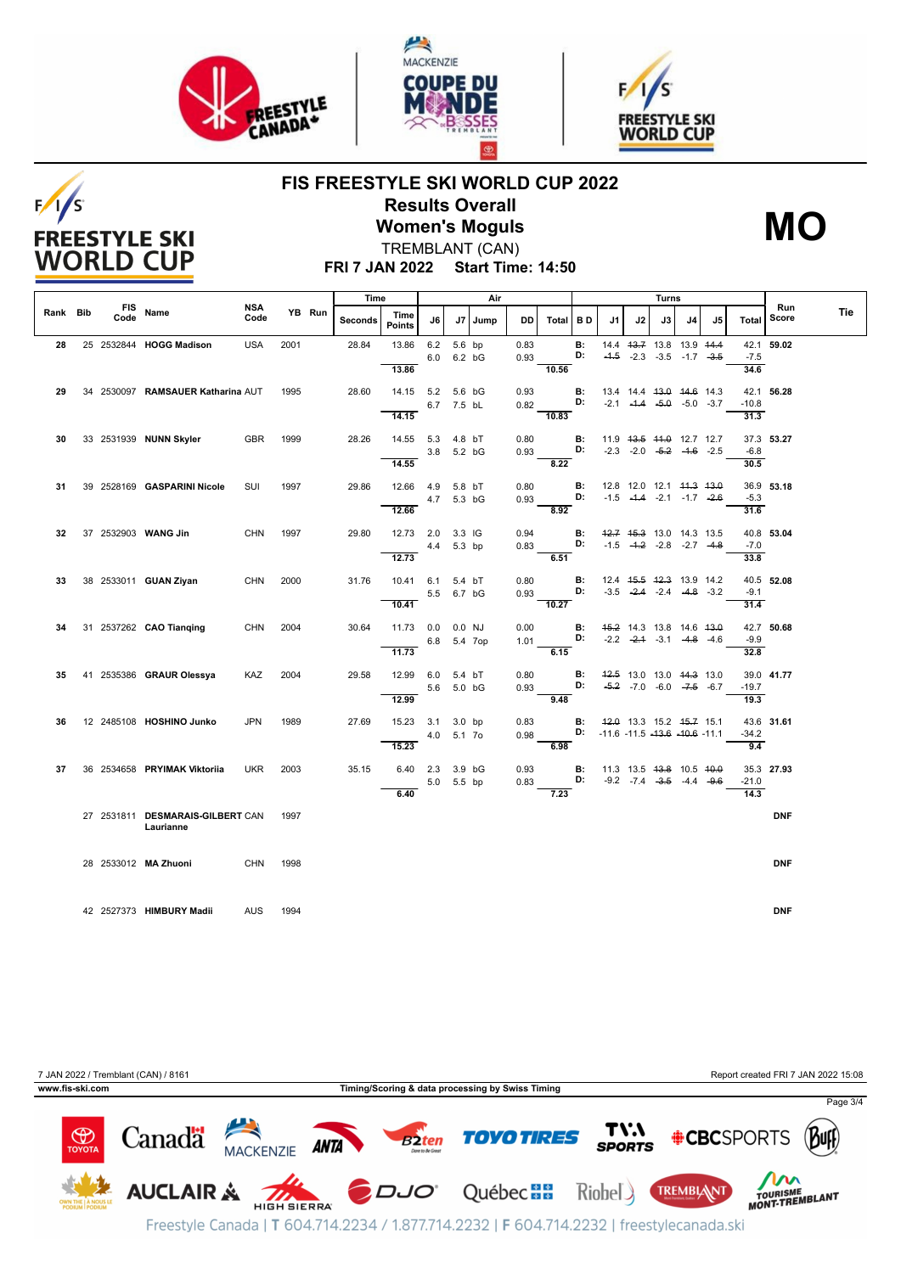

 $F/1/S$ 

**FREESTYLE SKI WORLD CUP** 





## **FIS FREESTYLE SKI WORLD CUP 2022 Results Overall Women's Moguls**



TREMBLANT (CAN)

**FRI 7 JAN 2022 Start Time: 14:50**

|          |                    |                                                    |                    |      |        | Time    |                       |             |        | Air     |              |          | Turns           |                                               |    |    |                                                                |    |                | Run        |            |
|----------|--------------------|----------------------------------------------------|--------------------|------|--------|---------|-----------------------|-------------|--------|---------|--------------|----------|-----------------|-----------------------------------------------|----|----|----------------------------------------------------------------|----|----------------|------------|------------|
| Rank Bib | <b>FIS</b><br>Code | Name                                               | <b>NSA</b><br>Code |      | YB Run | Seconds | Time<br><b>Points</b> | J6          |        | J7 Jump | DD.          | Total BD |                 | J1                                            | J2 | J3 | J4                                                             | J5 | Total          | Score      | <b>Tie</b> |
| 28       |                    | 25 2532844 HOGG Madison                            | <b>USA</b>         | 2001 |        | 28.84   | 13.86                 | 6.2         | 5.6 bp |         | 0.83         |          | <b>B:</b>       |                                               |    |    | 14.4 43.7 13.8 13.9 44.4                                       |    |                | 42.1 59.02 |            |
|          |                    |                                                    |                    |      |        |         |                       | 6.0 6.2 bG  |        |         | 0.93         |          | D:              |                                               |    |    | $-4.5$ $-2.3$ $-3.5$ $-1.7$ $-3.5$                             |    | $-7.5$         |            |            |
|          |                    |                                                    |                    |      |        |         | 13.86                 |             |        |         |              | 10.56    |                 |                                               |    |    |                                                                |    | 34.6           |            |            |
| 29       |                    | 34 2530097 RAMSAUER Katharina AUT                  |                    | 1995 |        | 28.60   | 14.15 5.2 5.6 bG      |             |        |         | 0.93         |          | В:              |                                               |    |    | 13.4 14.4 <del>13.0</del> 14.6 14.3                            |    |                | 42.1 56.28 |            |
|          |                    |                                                    |                    |      |        |         |                       | 6.7 7.5 bL  |        |         | 0.82         |          | D:              |                                               |    |    | $-2.1$ $-4.4$ $-5.0$ $-3.7$                                    |    | $-10.8$        |            |            |
|          |                    |                                                    |                    |      |        |         | 14.15                 |             |        |         |              | 10.83    |                 |                                               |    |    |                                                                |    | 31.3           |            |            |
|          |                    |                                                    |                    |      |        |         |                       |             |        |         |              |          |                 |                                               |    |    |                                                                |    |                |            |            |
| 30       |                    | 33 2531939 NUNN Skyler                             | GBR                | 1999 |        | 28.26   | 14.55 5.3 4.8 bT      |             |        |         | 0.80         |          | В:              | 11.9 43.5 44.0 12.7 12.7                      |    |    |                                                                |    |                | 37.3 53.27 |            |
|          |                    |                                                    |                    |      |        |         | 14.55                 | 3.8 5.2 bG  |        |         | 0.93         | 8.22     | D:              |                                               |    |    | $-2.3$ $-2.0$ $-5.2$ $-4.6$ $-2.5$                             |    | $-6.8$<br>30.5 |            |            |
|          |                    |                                                    |                    |      |        |         |                       |             |        |         |              |          |                 |                                               |    |    |                                                                |    |                |            |            |
| 31       |                    | 39 2528169 GASPARINI Nicole                        | SUI                | 1997 |        | 29.86   | 12.66                 | 4.9 5.8 bT  |        |         | 0.80         |          | <b>B:</b>       |                                               |    |    | 12.8 12.0 12.1 <del>11.3 13.0</del>                            |    |                | 36.9 53.18 |            |
|          |                    |                                                    |                    |      |        |         |                       | 4.7 5.3 bG  |        |         | 0.93         |          | D:              |                                               |    |    | $-1.5$ $-4.4$ $-2.1$ $-1.7$ $-2.6$                             |    | $-5.3$         |            |            |
|          |                    |                                                    |                    |      |        |         | 12.66                 |             |        |         |              | 8.92     |                 |                                               |    |    |                                                                |    | 31.6           |            |            |
|          |                    |                                                    |                    |      |        |         |                       |             |        |         |              |          |                 |                                               |    |    |                                                                |    |                |            |            |
| 32       |                    | 37 2532903 WANG Jin                                | <b>CHN</b>         | 1997 |        | 29.80   | 12.73 2.0 3.3 IG      | 4.4 5.3 bp  |        |         | 0.94<br>0.83 |          | <b>B:</b><br>D: |                                               |    |    | 42.7 45.3 13.0 14.3 13.5<br>$-1.5$ $-4.2$ $-2.8$ $-2.7$ $-4.8$ |    | $-7.0$         | 40.8 53.04 |            |
|          |                    |                                                    |                    |      |        |         | 12.73                 |             |        |         |              | 6.51     |                 |                                               |    |    |                                                                |    | 33.8           |            |            |
|          |                    |                                                    |                    |      |        |         |                       |             |        |         |              |          |                 |                                               |    |    |                                                                |    |                |            |            |
| 33       |                    | 38 2533011 GUAN Ziyan                              | CHN                | 2000 |        | 31.76   | 10.41 6.1 5.4 bT      |             |        |         | 0.80         |          | В:              |                                               |    |    | 12.4 45.5 42.3 13.9 14.2                                       |    |                | 40.5 52.08 |            |
|          |                    |                                                    |                    |      |        |         |                       | 5.5 6.7 bG  |        |         | 0.93         |          | D:              |                                               |    |    | $-3.5$ $-2.4$ $-2.4$ $-4.8$ $-3.2$                             |    | $-9.1$         |            |            |
|          |                    |                                                    |                    |      |        |         | 10.41                 |             |        |         |              | 10.27    |                 |                                               |    |    |                                                                |    | 31.4           |            |            |
| 34       |                    | 31 2537262 CAO Tianging                            | <b>CHN</b>         | 2004 |        | 30.64   | 11.73  0.0  0.0  NJ   |             |        |         | 0.00         |          | <b>B:</b>       |                                               |    |    | 45.2 14.3 13.8 14.6 43.0                                       |    |                | 42.7 50.68 |            |
|          |                    |                                                    |                    |      |        |         |                       | 6.8 5.4 7op |        |         | 1.01         |          | D:              |                                               |    |    | $-2.2$ $-2.4$ $-3.1$ $-4.8$ $-4.6$                             |    | $-9.9$         |            |            |
|          |                    |                                                    |                    |      |        |         | 11.73                 |             |        |         |              | 6.15     |                 |                                               |    |    |                                                                |    | 32.8           |            |            |
|          |                    |                                                    |                    |      |        |         |                       |             |        |         |              |          |                 |                                               |    |    |                                                                |    |                |            |            |
| 35       |                    | 41 2535386 GRAUR Olessya                           | <b>KAZ</b>         | 2004 |        | 29.58   | 12.99 6.0 5.4 bT      |             |        |         | 0.80         |          | <b>B:</b><br>D: | 42.5 13.0 13.0 44.3 13.0                      |    |    | $-5.2$ $-7.0$ $-6.0$ $-7.5$ $-6.7$                             |    | $-19.7$        | 39.0 41.77 |            |
|          |                    |                                                    |                    |      |        |         | 12.99                 | 5.6 5.0 bG  |        |         | 0.93         | 9.48     |                 |                                               |    |    |                                                                |    | 19.3           |            |            |
|          |                    |                                                    |                    |      |        |         |                       |             |        |         |              |          |                 |                                               |    |    |                                                                |    |                |            |            |
| 36       |                    | 12 2485108 HOSHINO Junko                           | <b>JPN</b>         | 1989 |        | 27.69   | 15.23 3.1 3.0 bp      |             |        |         | 0.83         |          | <b>B:</b>       |                                               |    |    | 42.0 13.3 15.2 45.7 15.1                                       |    |                | 43.6 31.61 |            |
|          |                    |                                                    |                    |      |        |         |                       | 4.0 5.1 7o  |        |         | 0.98         |          |                 | <b>D:</b> $-11.6 - 11.5 - 13.6 - 10.6 - 11.1$ |    |    |                                                                |    | $-34.2$        |            |            |
|          |                    |                                                    |                    |      |        |         | 15.23                 |             |        |         |              | 6.98     |                 |                                               |    |    |                                                                |    | 9.4            |            |            |
| 37       |                    | 36 2534658 PRYIMAK Viktoriia                       | <b>UKR</b>         | 2003 |        | 35.15   | 6.40                  | 2.3         | 3.9 bG |         | 0.93         |          | В:              |                                               |    |    | 11.3 13.5 <del>13.8</del> 10.5 <del>10.0</del>                 |    |                | 35.3 27.93 |            |
|          |                    |                                                    |                    |      |        |         |                       | 5.0 5.5 bp  |        |         | 0.83         |          | D:              |                                               |    |    | $-9.2$ $-7.4$ $-3.5$ $-4.4$ $-9.6$                             |    | $-21.0$        |            |            |
|          |                    |                                                    |                    |      |        |         | 6.40                  |             |        |         |              | 7.23     |                 |                                               |    |    |                                                                |    | 14.3           |            |            |
|          |                    |                                                    |                    |      |        |         |                       |             |        |         |              |          |                 |                                               |    |    |                                                                |    |                |            |            |
|          |                    | 27 2531811 DESMARAIS-GILBERT CAN 1997<br>Laurianne |                    |      |        |         |                       |             |        |         |              |          |                 |                                               |    |    |                                                                |    |                | <b>DNF</b> |            |
|          |                    |                                                    |                    |      |        |         |                       |             |        |         |              |          |                 |                                               |    |    |                                                                |    |                |            |            |
|          |                    |                                                    |                    |      |        |         |                       |             |        |         |              |          |                 |                                               |    |    |                                                                |    |                |            |            |
|          |                    | 28 2533012 MA Zhuoni                               | CHN 1998           |      |        |         |                       |             |        |         |              |          |                 |                                               |    |    |                                                                |    |                | <b>DNF</b> |            |
|          |                    |                                                    |                    |      |        |         |                       |             |        |         |              |          |                 |                                               |    |    |                                                                |    |                |            |            |
|          |                    |                                                    |                    |      |        |         |                       |             |        |         |              |          |                 |                                               |    |    |                                                                |    |                |            |            |
|          |                    | 42 2527373 HIMBURY Madii                           | <b>AUS</b>         | 1994 |        |         |                       |             |        |         |              |          |                 |                                               |    |    |                                                                |    |                | <b>DNF</b> |            |
|          |                    |                                                    |                    |      |        |         |                       |             |        |         |              |          |                 |                                               |    |    |                                                                |    |                |            |            |